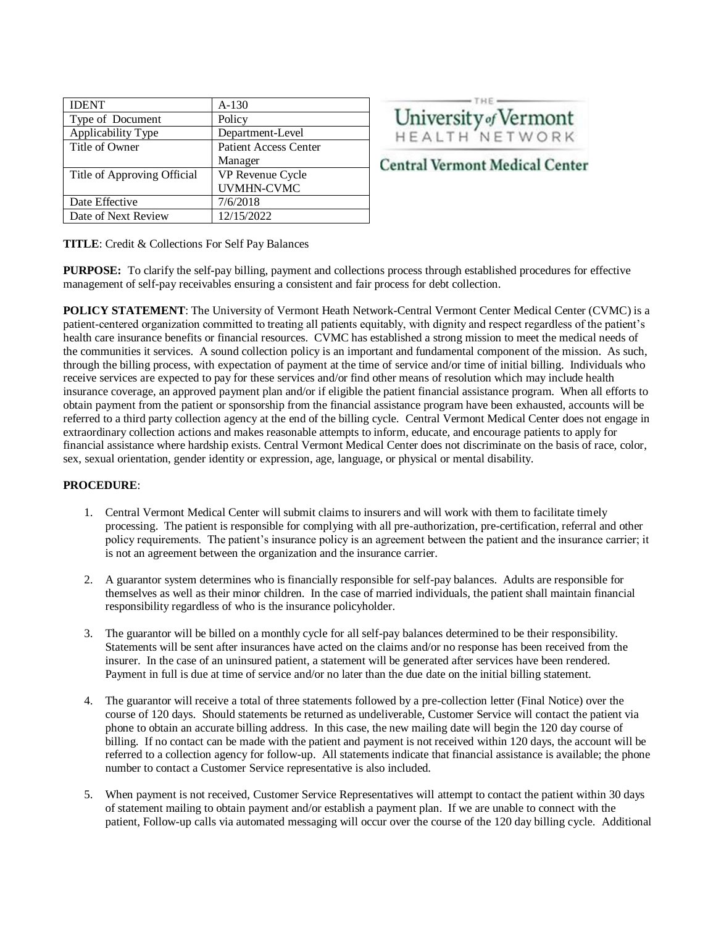| <b>IDENT</b>                | $A-130$                      |
|-----------------------------|------------------------------|
| Type of Document            | Policy                       |
| Applicability Type          | Department-Level             |
| Title of Owner              | <b>Patient Access Center</b> |
|                             | Manager                      |
| Title of Approving Official | VP Revenue Cycle             |
|                             | UVMHN-CVMC                   |
| Date Effective              | 7/6/2018                     |
| Date of Next Review         | 12/15/2022                   |



# **Central Vermont Medical Center**

**TITLE**: Credit & Collections For Self Pay Balances

**PURPOSE:** To clarify the self-pay billing, payment and collections process through established procedures for effective management of self-pay receivables ensuring a consistent and fair process for debt collection.

**POLICY STATEMENT**: The University of Vermont Heath Network-Central Vermont Center Medical Center (CVMC) is a patient-centered organization committed to treating all patients equitably, with dignity and respect regardless of the patient's health care insurance benefits or financial resources. CVMC has established a strong mission to meet the medical needs of the communities it services. A sound collection policy is an important and fundamental component of the mission. As such, through the billing process, with expectation of payment at the time of service and/or time of initial billing. Individuals who receive services are expected to pay for these services and/or find other means of resolution which may include health insurance coverage, an approved payment plan and/or if eligible the patient financial assistance program. When all efforts to obtain payment from the patient or sponsorship from the financial assistance program have been exhausted, accounts will be referred to a third party collection agency at the end of the billing cycle. Central Vermont Medical Center does not engage in extraordinary collection actions and makes reasonable attempts to inform, educate, and encourage patients to apply for financial assistance where hardship exists. Central Vermont Medical Center does not discriminate on the basis of race, color, sex, sexual orientation, gender identity or expression, age, language, or physical or mental disability.

## **PROCEDURE**:

- 1. Central Vermont Medical Center will submit claims to insurers and will work with them to facilitate timely processing. The patient is responsible for complying with all pre-authorization, pre-certification, referral and other policy requirements. The patient's insurance policy is an agreement between the patient and the insurance carrier; it is not an agreement between the organization and the insurance carrier.
- 2. A guarantor system determines who is financially responsible for self-pay balances. Adults are responsible for themselves as well as their minor children. In the case of married individuals, the patient shall maintain financial responsibility regardless of who is the insurance policyholder.
- 3. The guarantor will be billed on a monthly cycle for all self-pay balances determined to be their responsibility. Statements will be sent after insurances have acted on the claims and/or no response has been received from the insurer. In the case of an uninsured patient, a statement will be generated after services have been rendered. Payment in full is due at time of service and/or no later than the due date on the initial billing statement.
- 4. The guarantor will receive a total of three statements followed by a pre-collection letter (Final Notice) over the course of 120 days. Should statements be returned as undeliverable, Customer Service will contact the patient via phone to obtain an accurate billing address. In this case, the new mailing date will begin the 120 day course of billing. If no contact can be made with the patient and payment is not received within 120 days, the account will be referred to a collection agency for follow-up. All statements indicate that financial assistance is available; the phone number to contact a Customer Service representative is also included.
- 5. When payment is not received, Customer Service Representatives will attempt to contact the patient within 30 days of statement mailing to obtain payment and/or establish a payment plan. If we are unable to connect with the patient, Follow-up calls via automated messaging will occur over the course of the 120 day billing cycle. Additional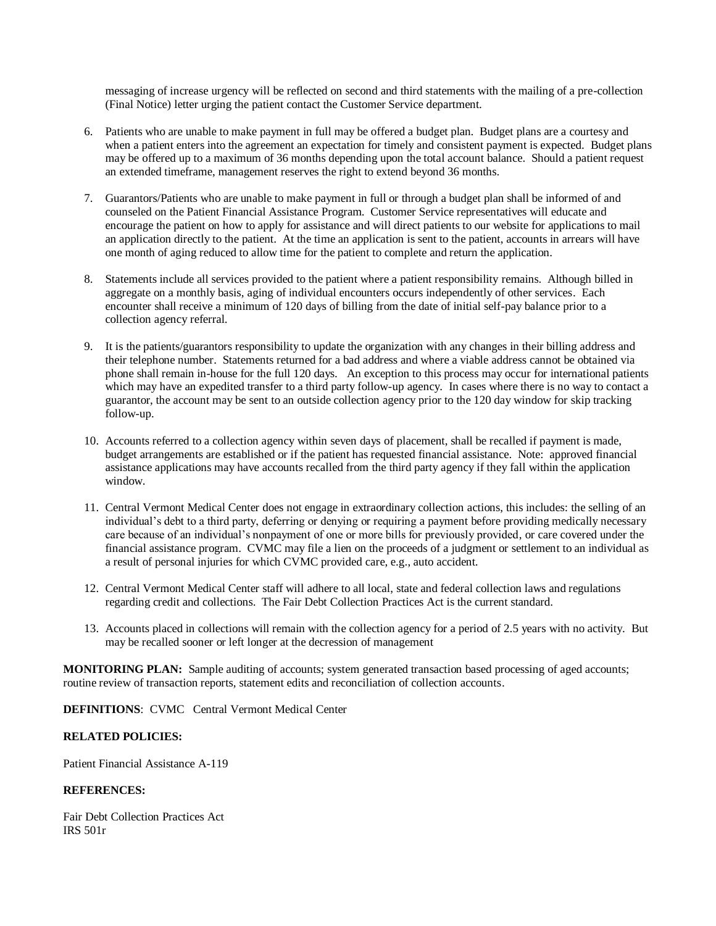messaging of increase urgency will be reflected on second and third statements with the mailing of a pre-collection (Final Notice) letter urging the patient contact the Customer Service department.

- 6. Patients who are unable to make payment in full may be offered a budget plan. Budget plans are a courtesy and when a patient enters into the agreement an expectation for timely and consistent payment is expected. Budget plans may be offered up to a maximum of 36 months depending upon the total account balance. Should a patient request an extended timeframe, management reserves the right to extend beyond 36 months.
- 7. Guarantors/Patients who are unable to make payment in full or through a budget plan shall be informed of and counseled on the Patient Financial Assistance Program. Customer Service representatives will educate and encourage the patient on how to apply for assistance and will direct patients to our website for applications to mail an application directly to the patient. At the time an application is sent to the patient, accounts in arrears will have one month of aging reduced to allow time for the patient to complete and return the application.
- 8. Statements include all services provided to the patient where a patient responsibility remains. Although billed in aggregate on a monthly basis, aging of individual encounters occurs independently of other services. Each encounter shall receive a minimum of 120 days of billing from the date of initial self-pay balance prior to a collection agency referral.
- 9. It is the patients/guarantors responsibility to update the organization with any changes in their billing address and their telephone number. Statements returned for a bad address and where a viable address cannot be obtained via phone shall remain in-house for the full 120 days. An exception to this process may occur for international patients which may have an expedited transfer to a third party follow-up agency. In cases where there is no way to contact a guarantor, the account may be sent to an outside collection agency prior to the 120 day window for skip tracking follow-up.
- 10. Accounts referred to a collection agency within seven days of placement, shall be recalled if payment is made, budget arrangements are established or if the patient has requested financial assistance. Note: approved financial assistance applications may have accounts recalled from the third party agency if they fall within the application window.
- 11. Central Vermont Medical Center does not engage in extraordinary collection actions, this includes: the selling of an individual's debt to a third party, deferring or denying or requiring a payment before providing medically necessary care because of an individual's nonpayment of one or more bills for previously provided, or care covered under the financial assistance program. CVMC may file a lien on the proceeds of a judgment or settlement to an individual as a result of personal injuries for which CVMC provided care, e.g., auto accident.
- 12. Central Vermont Medical Center staff will adhere to all local, state and federal collection laws and regulations regarding credit and collections. The Fair Debt Collection Practices Act is the current standard.
- 13. Accounts placed in collections will remain with the collection agency for a period of 2.5 years with no activity. But may be recalled sooner or left longer at the decression of management

**MONITORING PLAN:** Sample auditing of accounts; system generated transaction based processing of aged accounts; routine review of transaction reports, statement edits and reconciliation of collection accounts.

**DEFINITIONS**: CVMC Central Vermont Medical Center

#### **RELATED POLICIES:**

Patient Financial Assistance A-119

### **REFERENCES:**

Fair Debt Collection Practices Act IRS 501r